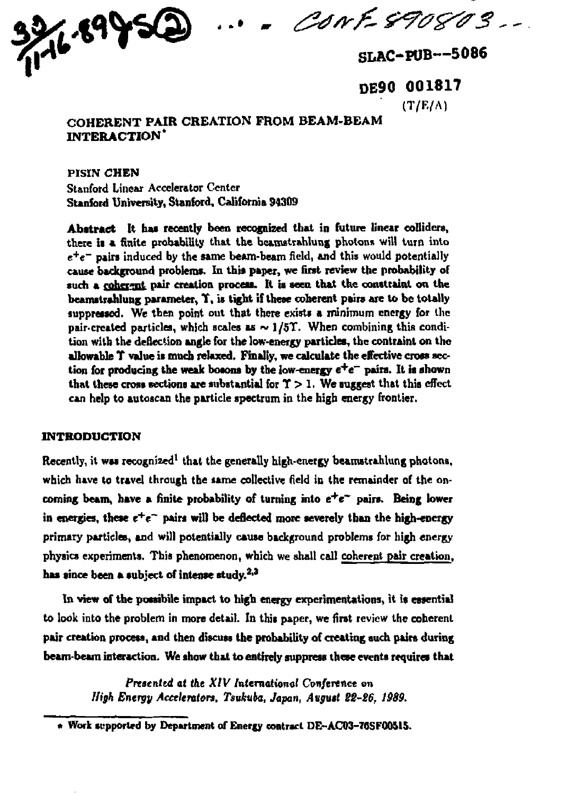**sr** *<&?/\*'£ &?&&&3* 



**DE90 001817 (T/F./A)** 

# **COHERENT PAIR CREATION FROM BEAM-BEAM INTERACTION\***

**PISIN CHEN Stanford Linear Accelerator Center Stanford University, Stanford, California 94309** 

**Abstract It has recently been recognized that in future linear colliders, there is a finite probability that the bcunstr&hlung photons will turn into e + e~ pairs induced by the same beam-beam field, and this would potentially cause background problems. In this paper, we first review the probability of**  such a coherent pair creation process. It is seen that the constraint on the **beamstrahlung parameter, T, is tight if these coherent pairs are to be totally suppressed. We then point out that there exists a minimum energy for the pair-created particles, which scales as ~ ] /5T. When combining this condition with the deflection angle for the low-energy particles, the contraint on the allowable T value is much relaxed. Finally, we calculate the effective cross section for producing the weak bosons by the low-energy e <sup>+</sup> e \_ pairs. It is shown**  that these cross sections are substantial for  $\Upsilon > 1$ . We suggest that this effect **can help to autoscan the particle spectrum in the high energy frontier.** 

### **INTRODUCTION**

Recently, it was recognized<sup>1</sup> that the generally high-energy beamstrahlung photons, **which have to travel through the same collective field in the remainder of the oncoming beam, have a finite probability of turning into e <sup>+</sup> e~ pairs. Being lower**  in energies, these  $e^+e^-$  pairs will be deflected more severely than the high-energy **primary particles, and will potentially cause background problems for high energy physics experiments. This phenomenon, which we shall call coherent pair creation, has since been a subject of intense study.2,3** 

**In view of the potsibile impact to high energy experimentations, it is essential to look into the problem in more detail. In this paper, we first review the coherent**  pair creation process, and then discuss the probability of creating such pairs during **beam-beam interaction. We show that to entirely suppress these events requires that** 

> **Presented at the XIV** International Conference on *High Energy Accelerators, Tsukuba, Japan, August 22-2\$, 1989.*

**<sup>\*</sup> Work supported by Department of Energy contract DE-ACD3-76SF005I5.**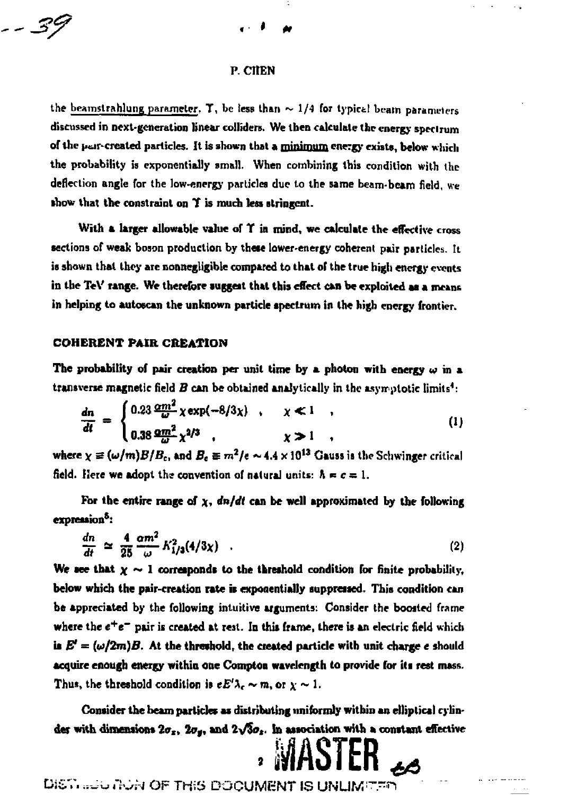#### **P. CltEN**

the beamstrahlung parameter. T, be less than  $\sim 1/4$  for typical beam parameters **discussed in next-generation linear colliders. We then calculate the energy speclrum**  of the pair-created particles. It is shown that a minimum energy exists, below which **the probability is exponentially small. When combining this condition with the deflection angle for the low-energy particles due to the same beam-beam field, we •bow that the constraint on** *t* **is much leu stringent.** 

**With a larger allowable value of T in mind, we calculate the effective cross sections of weak boson production by these lower-energy coherent pair particles. It**  is shown that they are nonnegligible compared to that of the true high energy events **in the TeV range. We therefore suggest that this effect can be exploited aa a meant in helping to autoecan the unknown particle spectrum in the high energy frontier.** 

#### **COHERENT PAIR CREATION**

*-3?* 

The probability of pair creation per unit time by a photon with energy  $\omega$  in a **transverse magnetic field** *B* **can be obtained analytically in the asyir nlotic limits<sup>4</sup> :** 

$$
\frac{dn}{dt} = \begin{cases} 0.23 \frac{\omega m^2}{\omega} \chi \exp(-8/3\chi) & , & \chi \ll 1 \\ 0.38 \frac{\omega m^2}{\omega} \chi^{2/3} & , & \chi \gg 1 \end{cases}
$$
 (1)

**where**  $\chi \equiv (\omega/m)B/B_c$ **, and**  $B_c \equiv m^2/e \sim 4.4 \times 10^{13}$  **Gauss is the Schwinger critical** field. Here we adopt the convention of natural units:  $\hbar = c = 1$ .

For the entire range of  $\chi$ ,  $dn/dt$  can be well approximated by the following **expression\*:** 

$$
\frac{dn}{dt} \simeq \frac{4}{25} \frac{\alpha m^2}{\omega} K_{1/3}^2 (4/3\chi) \quad . \tag{2}
$$

We see that  $x \sim 1$  corresponds to the threshold condition for finite probability, **below which the pair-creation rate is exponentially suppressed. This condition can be appreciated by the following intuitive arguments: Consider the boosted frame where the** *c<sup>+</sup> e~* **pair is created at rest. In this frame, there is an electric field which**  is  $E' = (\omega/2m)B$ . At the threshold, the created particle with unit charge e should **acquire enough energy within one Compton wavelength to provide for its rest mass.**  Thus, the threshold condition is  $eE^{\prime}\lambda_c \sim m$ , or  $\chi \sim 1$ .

**Consider the beam particles as distributing uniformly within an elliptical cylin**der with dimensions  $2\sigma_z$ ,  $2\sigma_y$ , and  $2\sqrt{3}\sigma_z$ . In association with a constant effective **. MASTER** *\** 

DIST............. THIS DOCUMENT IS UNUMITED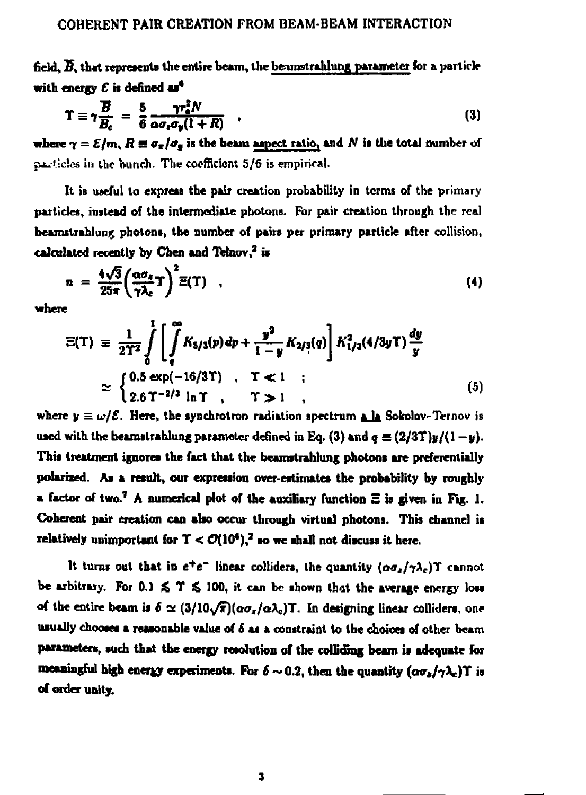field,  $\overline{B}$ , that represents the entire beam, the beamstrahlung parameter for a particle with energy  $E$  is defined as<sup>4</sup>

$$
\Upsilon \equiv \gamma \frac{\overline{B}}{\overline{B}_c} = \frac{5}{6} \frac{\gamma r_a^2 N}{\alpha \sigma_c \sigma_y (1+R)} \quad , \tag{3}
$$

**where**  $\gamma = \varepsilon/m$ **,**  $R \equiv \sigma_z/\sigma_y$  **is the beam aspect ratio, and** *N* **is the total number of £hki!.ic!£s in U10 bunch. Tlit- coefficient 5/6 is empirical.** 

**It is useful to express the pair creation probability in terms of the primary particles, instead of the intermediate pbotons. For pair creation through the real bearnstrahlung photons, the number of pairs per primary particle after collision, calculated recently by Chen and Telnov,<sup>2</sup> is** 

$$
n = \frac{4\sqrt{3}}{25\pi} \left(\frac{\alpha \sigma_z}{\gamma \lambda_c} T\right)^2 \Xi(T) \quad , \tag{4}
$$

**where** 

$$
\Xi(\Upsilon) \equiv \frac{1}{2\Upsilon^2} \int_{0}^{\Upsilon} \left[ \int_{0}^{\infty} K_{5/3}(p) \, dp + \frac{y^2}{1-y} K_{2/3}(q) \right] K_{1/3}^2(4/3y \Upsilon) \frac{dy}{y}
$$
  
 
$$
\approx \begin{cases} 0.5 \exp(-16/3\Upsilon) , & \Upsilon \ll 1 \\ 2.6 \Upsilon^{-2/3} \ln \Upsilon , & \Upsilon \gg 1 \end{cases} , \tag{5}
$$

**where**  $y \equiv \omega/\mathcal{E}$ . Here, the synchrotron radiation spectrum a la Sokolov-Ternov is used with the beamstrahlung parameter defined in Eq. (3) and  $q \equiv (2/3T)y/(1-y)$ . **This treatment ignores the fact that the beamstrahlung photons are preferentially polarised. As a result, our expression over-estimates the probability by roughly a factor of two.<sup>7</sup> A numerical plot of the auxiliary function E is given in Fig. 1. Coherent pair creation can also occur through virtual photons. This channel is**  relatively unimportant for  $T < O(10^4)$ ,<sup>2</sup> so we shall not discuss it here.

It turns out that in  $e^+e^-$  linear colliders, the quantity  $(a\sigma_x/\gamma\lambda_c)$  **T** cannot be arbitrary. For  $0.1 \leq \Upsilon \leq 100$ , it can be shown that the average energy loss **of the entire beam is**  $\delta \approx (3/10\sqrt{\pi})(\alpha\sigma_z/\alpha\lambda_c)$ **.** In designing linear colliders, one **usually chooses a reasonable value of** *€* **as a constraint to the choices of other beam parameters, such that the energy resolution of the colliding beam is adequate for meaningful high energy experiments. For**  $\delta \sim 0.2$ , then the quantity  $(\alpha \sigma_s/\gamma \lambda_c) \Upsilon$  is **of order unity.**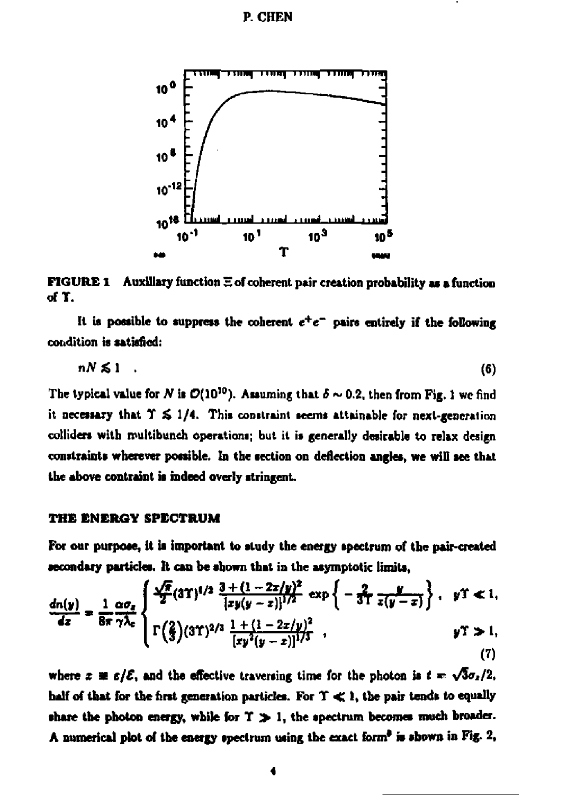## **P. CHEN**



FIGURE 1 Auxiliary function  $\Xi$  of coherent pair creation probability as a function **ofT.** 

It is possible to suppress the coherent  $e^+e^-$  pairs entirely if the following **condition is satisfied:** 

$$
nN\lesssim 1 \qquad (6)
$$

The typical value for *N* is  $\mathcal{O}(10^{10})$ . Assuming that  $\delta \sim 0.2$ , then from Fig. 1 we find **it necessary that T & 1/4. This constraint seems attainable for next-generation colliders with roultibunch operations; but it is generally desirable to relax design**  constraints wherever possible. In the section on deflection angles, we will see that **the above contraint is indeed overly stringent.** 

## **THE ENERGY SPECTRUM**

**For our purpose, it is important to study the energy spectrum of the pair-created secondary particles. It can be shown that in the asymptotic limits,** 

$$
\frac{dn(y)}{dz} = \frac{1}{8\pi} \frac{\alpha \sigma_x}{\gamma \lambda_c} \begin{cases} \frac{\sqrt{\pi}}{2} (3\Upsilon)^{1/2} \frac{3 + (1 - 2z/y)^2}{[zy(y - z)]^{1/2}} \exp \left\{-\frac{2}{3\Upsilon} \frac{y}{z(y - z)}\right\}, & y \Upsilon \ll 1, \\ \Gamma\left(\frac{2}{3}\right) (3\Upsilon)^{2/3} \frac{1 + (1 - 2z/y)^2}{[xy^2(y - z)]^{1/3}}, & y \Upsilon \gg 1, \end{cases}
$$
(7)

where  $x \equiv \varepsilon/\mathcal{E}$ , and the effective traversing time for the photon is  $t = \sqrt{3}\sigma_z/2$ . **half of that for the first generation particles. For T < I, the pair tends to equally**  share the photon energy, while for  $T \gg 1$ , the spectrum becomes much broader. **A numerical plot of the energy spectrum using the exact form\* is shown in Fig. 2,**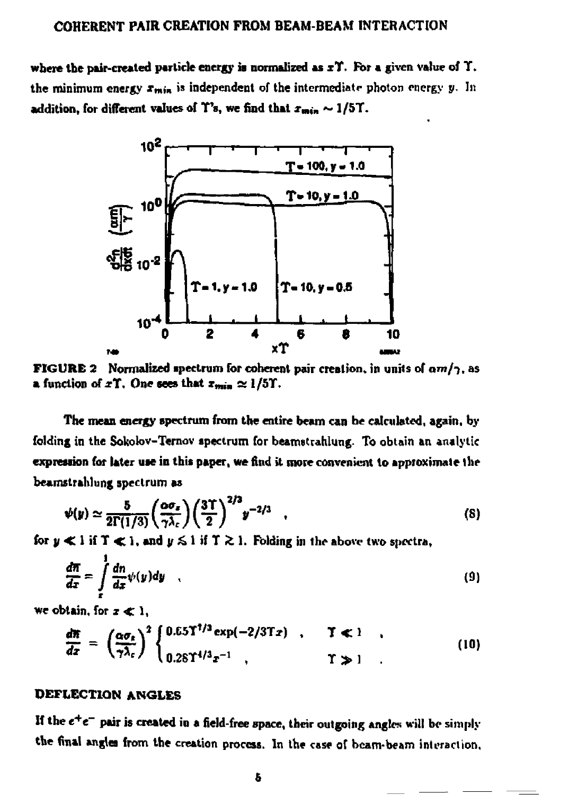where the pair-created particle energy is normalized as x<sup>Y</sup>. For a given value of Y. **the minimum energy**  $x_{min}$  **is independent of the intermediate photon energy** *y***. In** addition, for different values of  $T$ 's, we find that  $x_{min} \sim 1/5T$ .



**FIGURE 2 Normalised spectrum for coherent pair creation, in unils of** *am/-),* **as a** function of  $x\Upsilon$ . One sees that  $x_{min} \approx 1/5\Upsilon$ .

**The mean energy spectrum from the entire beam can be calculated, again, by folding in the Sokok»v-Temov spectrum for beamstrahlung- To obtain an analytic expression for later use in this paper, we find it more convenient to approximate the beamstrahlung spectrum as** 

$$
\psi(y) \simeq \frac{5}{2\Gamma(1/3)} \left(\frac{\omega \sigma_x}{\gamma \lambda_c}\right) \left(\frac{3\Upsilon}{2}\right)^{2/3} y^{-2/3} \quad , \tag{8}
$$

for  $y \ll 1$  if  $T \ll 1$ , and  $y \leq 1$  if  $T \gtrsim 1$ . Folding in the above two spectra,

$$
\frac{d\pi}{dx} = \int\limits_x^1 \frac{dn}{dx} \psi(y) dy \quad , \tag{9}
$$

we obtain, for  $x \ll 1$ ,

$$
\frac{d\pi}{dx} = \left(\frac{\alpha \sigma_{\varepsilon}}{\gamma \lambda_{\varepsilon}}\right)^2 \begin{cases} 0.65 \Upsilon^{1/3} \exp(-2/3 \Upsilon x) , & \Upsilon \ll 1 \\ 0.28 \Upsilon^{4/3} x^{-1} , & \Upsilon \gg 1 \end{cases} (10)
$$

## **DEFLECTION ANGLES**

If the  $e^+e^-$  pair is created in a field-free space, their outgoing angles will be simply **the final angles from the creation process. In the case of beam-beam infraction.**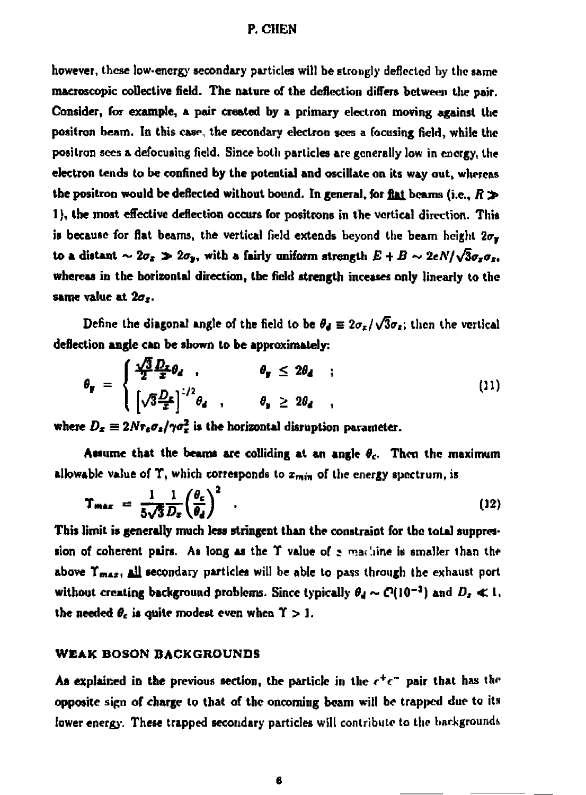## **P. CHEN**

**however, these low-energy secondary particles will be strongly deflected by the same macroscopic collective field. The nature of the deflection differs between the pair. Consider, for example, a pair created by a primary electron moving against the positron beam. In this caw., the secondary electron sees a focusing field, while the positron sees a defocusing field. Since both particles are generally low in energy, the electron tends to be confined by the potential and oscillate on its way out, whereas**  the positron would be deflected without bound. In general, for flat beams (i.e.,  $R \gg$ **1), the most effective deflection occurs for positrons in the vertical direction. This**  is because for flat beams, the vertical field extends beyond the beam height  $2\sigma_y$ to a distant  $\sim 2\sigma_z \gg 2\sigma_y$ , with a fairly uniform strength  $E + B \sim 2eN/\sqrt{3}\sigma_x\sigma_z$ , **whereas in the horizontal direction, the field strength inceases only linearly to the same value at** *2a<sup>t</sup> .* 

Define the diagonal angle of the field to be  $\theta_d \equiv 2\sigma_x/\sqrt{3}\sigma_z$ ; then the vertical **deflection angle can be shown to be approximately:** 

$$
\theta_{\mathbf{y}} = \begin{cases} \frac{\sqrt{3}}{2} \frac{D_x}{x} \theta_d & , & \theta_{\mathbf{y}} \leq 2\theta_d \\ \left[ \sqrt{3} \frac{D_x}{x} \right]^{1/2} \theta_d & , & \theta_{\mathbf{y}} \geq 2\theta_d \end{cases} \tag{11}
$$

where  $D_x \equiv 2N r_e \sigma_z/\gamma \sigma_x^2$  is the horizontal disruption parameter.

**Assume that the beams are colliding at an angle** *9<sup>t</sup> .* **Then the maximum allowable value of T, which corresponds to**  $x_{min}$  **of the energy spectrum, is** 

$$
T_{max} = \frac{1}{5\sqrt{3}} \frac{1}{D_x} \left(\frac{\theta_c}{\theta_d}\right)^2 \tag{12}
$$

**This limit is generally much less stringent than the constraint for the total suppression of coherent pairs. As long as the T value of**  $\epsilon$  **machine is smaller than the above T <sup>m</sup> « , ill secondary particles will be able to pass through the exhaust port without creating background problems. Since typically** *0<sup>d</sup>*  **~ <P(I0~<sup>3</sup> ) and** *D,* **< l, the needed** *6<sup>C</sup>*  **is quite modest even when T > ].** 

## **WEAK BOSON BACKGROUNDS**

As explained in the previous section, the particle in the  $e^+e^-$  pair that has the **opposite sign of charge to that of the oncoming beam will be trapped due to its**  lower energy. These trapped secondary particles will contribute to the backgrounds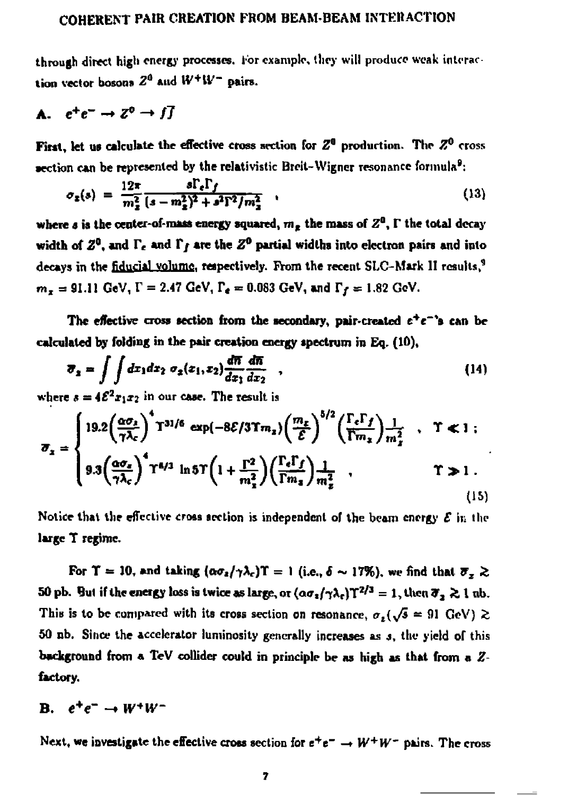through direct high energy processes. For example, they will produce weak interaction vector bosons  $Z^{\mu}$  and  $W^+W^-$  pairs.

# **A.**  $e^+e^- \rightarrow Z^0 \rightarrow f\overline{f}$

First, let us calculate the effective cross section for  $Z^0$  production. The  $Z^0$  cross **section can be represented by the relativistic Breit-Wigner resonance formula<sup>9</sup>:** 

$$
\sigma_z(s) = \frac{12\pi}{m_z^2} \frac{s\Gamma_{\epsilon}\Gamma_f}{(s - m_z^2)^2 + s^2\Gamma^2/m_z^2} \tag{13}
$$

where s is the center-of-mass energy squared,  $m<sub>s</sub>$  the mass of  $Z<sup>a</sup>$ ,  $\Gamma$  the total decay width of  $Z^0$ , and  $\Gamma_t$  and  $\Gamma_f$  are the  $Z^0$  partial widths into electron pairs and into decays in the fiducial volume, respectively. From the recent SLC-Mark II results,<sup>9</sup>  $m_x = 91.11 \text{ GeV}, V = 2.47 \text{ GeV}, V_d = 0.083 \text{ GeV}, \text{ and } V_f = 1.82 \text{ GeV}.$ 

**The effective cross section from the secondary, pair-created e<sup>+</sup> e~\*s can be calculated by folding in the pair creation energy spectrum in Eq. (10),** 

$$
\overline{\sigma}_2 = \int \int dx_1 dx_2 \ \sigma_2(x_1, x_2) \frac{d\overline{n}}{dx_1} \frac{d\overline{n}}{dx_2} \quad , \tag{14}
$$

where  $s = 4\mathcal{E}^2 x_1 x_2$  in our case. The result is

$$
\sigma_{x} = \begin{cases}\n19.2 \left(\frac{\alpha \sigma_{z}}{\gamma \lambda_{c}}\right)^{4} \text{T}^{31/6} \exp\left(-8\mathcal{E}/3\mathcal{T}m_{z}\right) \left(\frac{m_{z}}{\mathcal{E}}\right)^{5/2} \left(\frac{\Gamma_{c}\Gamma_{f}}{\Gamma m_{z}}\right) \frac{1}{m_{z}^{2}} & , \quad \Upsilon \ll 1 ; \\
9.3 \left(\frac{\alpha \sigma_{z}}{\gamma \lambda_{c}}\right)^{4} \text{T}^{4/3} \ln 5 \text{T} \left(1 + \frac{\Gamma^{2}}{m_{z}^{2}}\right) \left(\frac{\Gamma_{c}\Gamma_{f}}{\Gamma m_{z}}\right) \frac{1}{m_{z}^{2}} & , \quad \Upsilon \gg 1 .\n\end{cases}
$$
\n(15)

**Notice that the effective cross section is independent of the beam energy** *£* **in the large T regime.** 

For  $\Upsilon = 10$ , and taking  $(a\sigma_z/\gamma\lambda_c)T = 1$  (i.e.,  $\delta \sim 17\%$ ), we find that  $\overline{\sigma}_z \gtrsim 1$ 50 pb. But if the energy loss is twice as large, or  $(a\sigma_z/\gamma\lambda_c)T^{2/3} = 1$ , then  $\sigma_z \gtrsim 1$  nb. This is to be compared with its cross section on resonance,  $\sigma_s(\sqrt{s} = 91 \text{ GeV}) \gtrsim$ **50 nb. Since the accelerator luminosity generally increases as j , the yield of this background from a TeV collider could in principle be as high as that from a** *Z***factory.** 

## **B. « <sup>+</sup> €~ - •** *W+W-*

Next, we investigate the effective cross section for  $e^+e^- \rightarrow W^+W^-$  pairs. The cross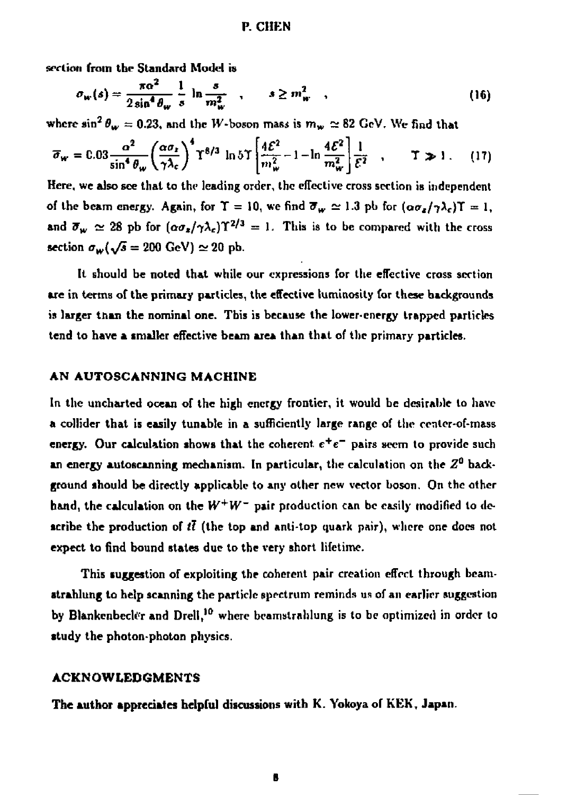### **P. CHEN**

**section from the Standard Model is** 

$$
\sigma_{\mathbf{w}}(s) = \frac{\pi \alpha^2}{2 \sin^4 \theta_{\mathbf{w}}} \frac{1}{s} \ln \frac{s}{m_{\mathbf{w}}^2} , \qquad s \ge m_{\mathbf{w}}^2 , \qquad (16)
$$

where  $\sin^2 \theta_w = 0.23$ , and the *W*-boson mass is  $m_w \simeq 82 \text{ GeV}$ . We find that

$$
\overline{\sigma}_{\mathbf{w}} = 0.03 \frac{\alpha^2}{\sin^4 \theta_{\mathbf{w}}} \left(\frac{\alpha \sigma_t}{\gamma \lambda_c}\right)^4 \Upsilon^{8/3} \ln 5 \Upsilon \left[\frac{4\mathcal{E}^2}{m_{\mathbf{w}}^2} - 1 - \ln \frac{4\mathcal{E}^2}{m_{\mathbf{w}}^2}\right] \frac{1}{\mathcal{E}^2} , \qquad \Upsilon \gg 1 . \tag{17}
$$

**Here, we also see that to the leading order, the effective cross section is independent of the beam energy.** Again, for  $\Upsilon = 10$ , we find  $\overline{\sigma}_w \approx 1.3$  pb for  $(\omega \sigma_x/\gamma \lambda_c)\Upsilon = 1$ , **and**  $\overline{\sigma}_W \approx 28$  pb for  $(a\sigma_z/\gamma\lambda_c)T^{2/3} = 1$ . This is to be compared with the cross **section**  $\sigma_w(\sqrt{s} = 200 \text{ GeV}) \approx 20 \text{ pb}.$ 

**It should be noted that while our expressions for the effective cross section are in terms of the primary particles, the effective luminosity for these backgrounds is larger than the nominal one. Tbis is because the lower-energy trapped particles tend to have a smaller effective beam area than that of the primary particles.** 

## **AN AUTOSCANN1NG MACHINE**

**In the uncharted ocean of the high energy frontier, it would be desirable lo have a collider that is easily tunable in a sufficiently large range of the ccnter-of-mass**  energy. Our calculation shows that the coherent  $e^+e^-$  pairs seem to provide such **an energy autoscanning mechanism. In particular, the calculation on the** *Z<sup>a</sup>*  **background should be directly applicable to any other new vector boson. On the other hand, the calculation on the** *W+W~* **pair production can be easily modified to describe the production of** *it* **(the top and anli-top quark pair), where one does not expect to find bound states due to the very short lifetime.** 

**This suggestion of exploiting the coherent pair creation effect through bcamstrahlung to help scanning the particle spectrum reminds us of an earlier suggestion by Blankenbcckr and Drell, <sup>1</sup> <sup>0</sup> where bcamslrnhlung is lo be optimized in order lo study the photon-photon physics.** 

## **ACKNOWLEDGMENTS**

**The author appreciates helpful discussions with K. Yokoya of KEK, Japan.**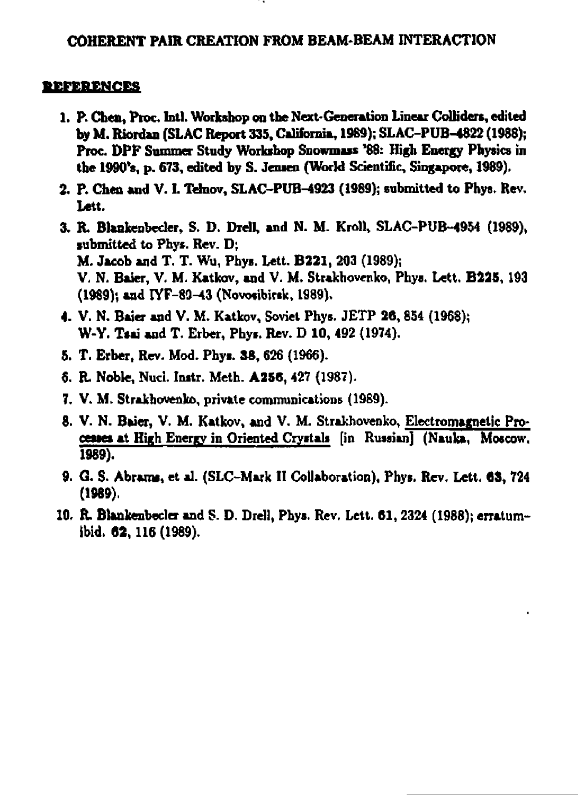## **REFERENCES**

- **1. P. Chen, Proc Intl. Workshop oa the Next-Generation Linear CoUidere, edited by M. Riordan (SLAC Report 335, California, 1969); SLAC-PUB-4822 (1988); Proc. DPF Summer Study Workshop Snowmais '88: High Energy Physics in**  the 1990's, p. 673, edited by S. Jensen (World Scientific, Singapore, 1989).
- **2. P. Chen and V. I. Tdnov, SLAC-PUB-4923 (1989); submitted to Phys. Rev, Lett.**
- **3. R. Blankenbeder, S. D. Drell, and N. M. Kroll, SLAC-PUB-4954 (1989), submitted to Phys. Rev. D; M. Jacob and T. T. Wu, Phys. Lett. B221, 203 (1989); V. N. Baier, V. M. Katkov, and V. M. Strakhovenko, Phys. Lett. B225, 193 (1989); and IYF-89-43 (Novosibirsk, 1989).**
- **4. V. N. Bate? and V. M. Katkov, Soviet Phys. JETP 26,854 (1968); W-Y. Tsai and T. Erber, Phys. Rev. D 10, 492 (1974).**
- **5. T. Erber, Rev. Mod. Phys. 38, 626 (1966).**
- **6. R Noble, Nuci. Initr. Meth. A2SC, 427 (1987).**
- **7. V. M. Strakbovenko, private communications (1989).**
- **8. V. N. Btier, V. M. Katkov, and V. M. Strakhovenko, Electromagnetic Processes at High Energy in Oriented Crystals [in Russian] (Nauka, Moscow, 1989).**
- **9.** *G.* **S. Abraro, et al. (SLC-Mark II Collaboration), Phys. Rev. Lett. 63, 724 (1989).**
- **10. ft. Blankenbecler and S. D. Drell, Phys. Rev. Lett. 61,2324 (1988); erratumibid. 62,116(1989).**